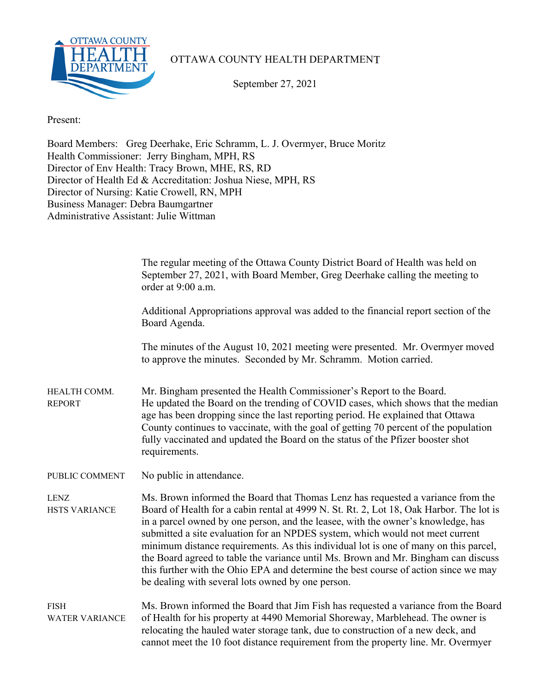

## OTTAWA COUNTY HEALTH DEPARTMENT

September 27, 2021

Present:

Board Members: Greg Deerhake, Eric Schramm, L. J. Overmyer, Bruce Moritz Health Commissioner: Jerry Bingham, MPH, RS Director of Env Health: Tracy Brown, MHE, RS, RD Director of Health Ed & Accreditation: Joshua Niese, MPH, RS Director of Nursing: Katie Crowell, RN, MPH Business Manager: Debra Baumgartner Administrative Assistant: Julie Wittman

|                                      | The regular meeting of the Ottawa County District Board of Health was held on<br>September 27, 2021, with Board Member, Greg Deerhake calling the meeting to<br>order at 9:00 a.m.                                                                                                                                                                                                                                                                                                                                                                                                                                                                                        |  |  |  |  |
|--------------------------------------|---------------------------------------------------------------------------------------------------------------------------------------------------------------------------------------------------------------------------------------------------------------------------------------------------------------------------------------------------------------------------------------------------------------------------------------------------------------------------------------------------------------------------------------------------------------------------------------------------------------------------------------------------------------------------|--|--|--|--|
|                                      | Additional Appropriations approval was added to the financial report section of the<br>Board Agenda.                                                                                                                                                                                                                                                                                                                                                                                                                                                                                                                                                                      |  |  |  |  |
|                                      | The minutes of the August 10, 2021 meeting were presented. Mr. Overmyer moved<br>to approve the minutes. Seconded by Mr. Schramm. Motion carried.                                                                                                                                                                                                                                                                                                                                                                                                                                                                                                                         |  |  |  |  |
| HEALTH COMM.<br><b>REPORT</b>        | Mr. Bingham presented the Health Commissioner's Report to the Board.<br>He updated the Board on the trending of COVID cases, which shows that the median<br>age has been dropping since the last reporting period. He explained that Ottawa<br>County continues to vaccinate, with the goal of getting 70 percent of the population<br>fully vaccinated and updated the Board on the status of the Pfizer booster shot<br>requirements.                                                                                                                                                                                                                                   |  |  |  |  |
| PUBLIC COMMENT                       | No public in attendance.                                                                                                                                                                                                                                                                                                                                                                                                                                                                                                                                                                                                                                                  |  |  |  |  |
| <b>LENZ</b><br><b>HSTS VARIANCE</b>  | Ms. Brown informed the Board that Thomas Lenz has requested a variance from the<br>Board of Health for a cabin rental at 4999 N. St. Rt. 2, Lot 18, Oak Harbor. The lot is<br>in a parcel owned by one person, and the leasee, with the owner's knowledge, has<br>submitted a site evaluation for an NPDES system, which would not meet current<br>minimum distance requirements. As this individual lot is one of many on this parcel,<br>the Board agreed to table the variance until Ms. Brown and Mr. Bingham can discuss<br>this further with the Ohio EPA and determine the best course of action since we may<br>be dealing with several lots owned by one person. |  |  |  |  |
| <b>FISH</b><br><b>WATER VARIANCE</b> | Ms. Brown informed the Board that Jim Fish has requested a variance from the Board<br>of Health for his property at 4490 Memorial Shoreway, Marblehead. The owner is<br>relocating the hauled water storage tank, due to construction of a new deck, and<br>cannot meet the 10 foot distance requirement from the property line. Mr. Overmyer                                                                                                                                                                                                                                                                                                                             |  |  |  |  |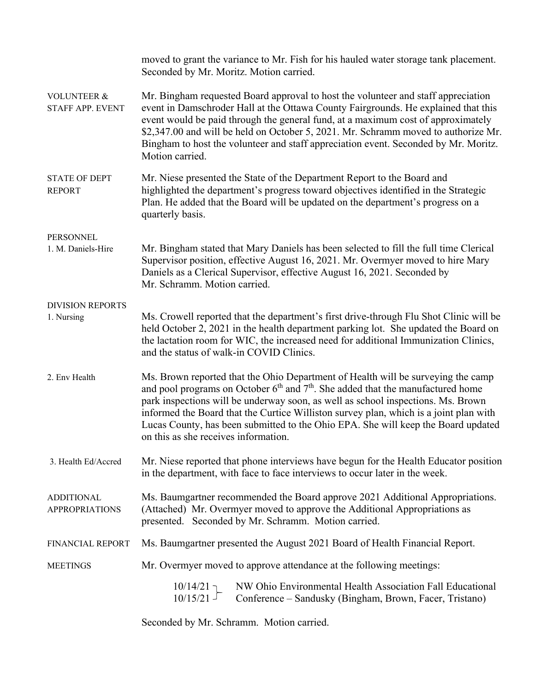|                                            | moved to grant the variance to Mr. Fish for his hauled water storage tank placement.<br>Seconded by Mr. Moritz. Motion carried.                                                                                                                                                                                                                                                                                                                                                   |  |  |  |  |  |
|--------------------------------------------|-----------------------------------------------------------------------------------------------------------------------------------------------------------------------------------------------------------------------------------------------------------------------------------------------------------------------------------------------------------------------------------------------------------------------------------------------------------------------------------|--|--|--|--|--|
| <b>VOLUNTEER &amp;</b><br>STAFF APP. EVENT | Mr. Bingham requested Board approval to host the volunteer and staff appreciation<br>event in Damschroder Hall at the Ottawa County Fairgrounds. He explained that this<br>event would be paid through the general fund, at a maximum cost of approximately<br>\$2,347.00 and will be held on October 5, 2021. Mr. Schramm moved to authorize Mr.<br>Bingham to host the volunteer and staff appreciation event. Seconded by Mr. Moritz.<br>Motion carried.                       |  |  |  |  |  |
| <b>STATE OF DEPT</b><br><b>REPORT</b>      | Mr. Niese presented the State of the Department Report to the Board and<br>highlighted the department's progress toward objectives identified in the Strategic<br>Plan. He added that the Board will be updated on the department's progress on a<br>quarterly basis.                                                                                                                                                                                                             |  |  |  |  |  |
| <b>PERSONNEL</b><br>1. M. Daniels-Hire     | Mr. Bingham stated that Mary Daniels has been selected to fill the full time Clerical<br>Supervisor position, effective August 16, 2021. Mr. Overmyer moved to hire Mary<br>Daniels as a Clerical Supervisor, effective August 16, 2021. Seconded by<br>Mr. Schramm. Motion carried.                                                                                                                                                                                              |  |  |  |  |  |
| <b>DIVISION REPORTS</b><br>1. Nursing      | Ms. Crowell reported that the department's first drive-through Flu Shot Clinic will be<br>held October 2, 2021 in the health department parking lot. She updated the Board on                                                                                                                                                                                                                                                                                                     |  |  |  |  |  |
|                                            | the lactation room for WIC, the increased need for additional Immunization Clinics,<br>and the status of walk-in COVID Clinics.                                                                                                                                                                                                                                                                                                                                                   |  |  |  |  |  |
| 2. Env Health                              | Ms. Brown reported that the Ohio Department of Health will be surveying the camp<br>and pool programs on October $6th$ and $7th$ . She added that the manufactured home<br>park inspections will be underway soon, as well as school inspections. Ms. Brown<br>informed the Board that the Curtice Williston survey plan, which is a joint plan with<br>Lucas County, has been submitted to the Ohio EPA. She will keep the Board updated<br>on this as she receives information. |  |  |  |  |  |
| 3. Health Ed/Accred                        | Mr. Niese reported that phone interviews have begun for the Health Educator position<br>in the department, with face to face interviews to occur later in the week.                                                                                                                                                                                                                                                                                                               |  |  |  |  |  |
| <b>ADDITIONAL</b><br><b>APPROPRIATIONS</b> | Ms. Baumgartner recommended the Board approve 2021 Additional Appropriations.<br>(Attached) Mr. Overmyer moved to approve the Additional Appropriations as<br>presented. Seconded by Mr. Schramm. Motion carried.                                                                                                                                                                                                                                                                 |  |  |  |  |  |
| FINANCIAL REPORT                           | Ms. Baumgartner presented the August 2021 Board of Health Financial Report.                                                                                                                                                                                                                                                                                                                                                                                                       |  |  |  |  |  |
| <b>MEETINGS</b>                            | Mr. Overmyer moved to approve attendance at the following meetings:                                                                                                                                                                                                                                                                                                                                                                                                               |  |  |  |  |  |
|                                            | NW Ohio Environmental Health Association Fall Educational<br>$10/14/21$ $\lceil$<br>10/15/21<br>Conference - Sandusky (Bingham, Brown, Facer, Tristano)                                                                                                                                                                                                                                                                                                                           |  |  |  |  |  |

Seconded by Mr. Schramm. Motion carried.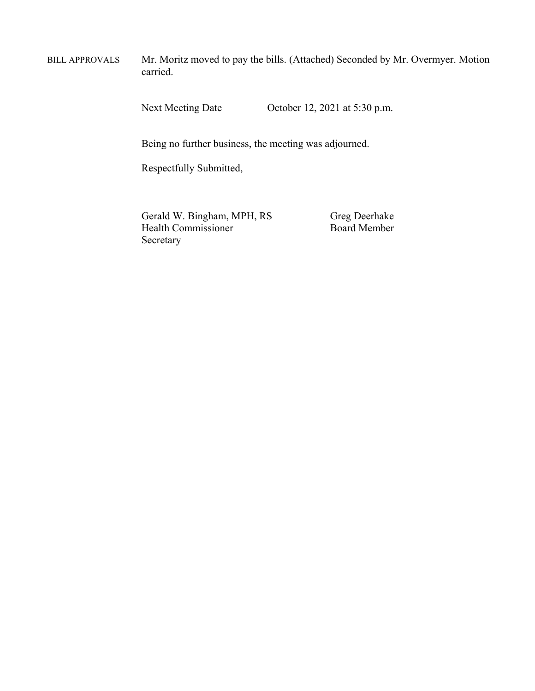BILL APPROVALS Mr. Moritz moved to pay the bills. (Attached) Seconded by Mr. Overmyer. Motion carried.

Next Meeting Date October 12, 2021 at 5:30 p.m.

Being no further business, the meeting was adjourned.

Respectfully Submitted,

Gerald W. Bingham, MPH, RS Greg Deerhake Health Commissioner Board Member Secretary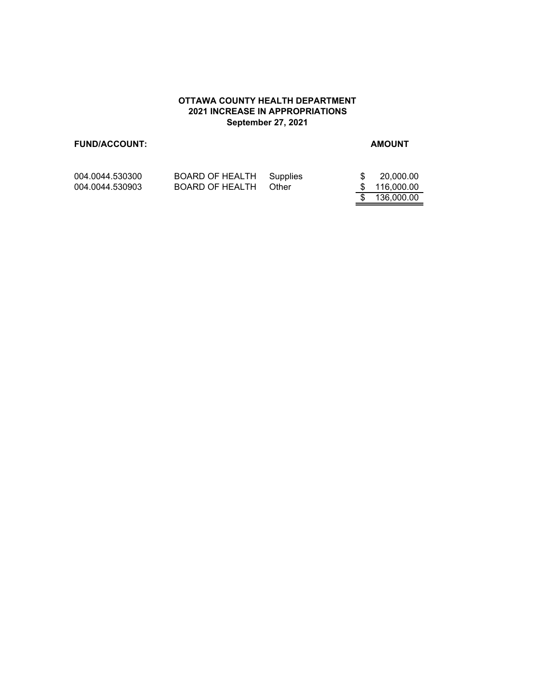#### **OTTAWA COUNTY HEALTH DEPARTMENT 2021 INCREASE IN APPROPRIATIONS September 27, 2021**

#### **FUND/ACCOUNT:**

### **AMOUNT**

| 004.0044.530300 | BOARD OF HEALTH Supplies |       | \$ 20,000,00  |
|-----------------|--------------------------|-------|---------------|
| 004.0044.530903 | BOARD OF HEALTH          | Other | \$116.000.00  |
|                 |                          |       | \$ 136,000,00 |